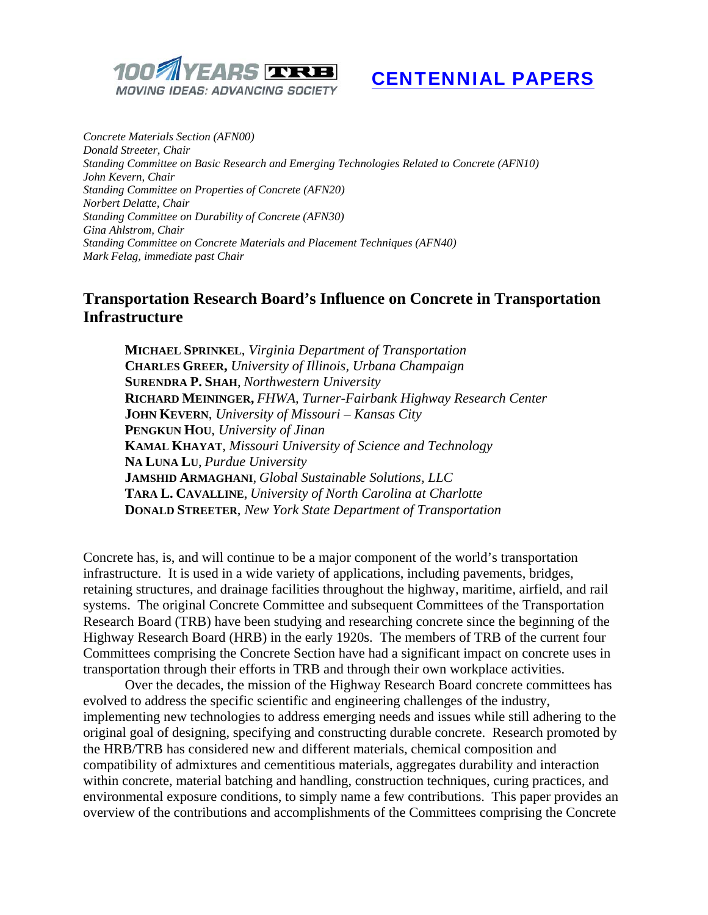

# CENTENNIAL PAPERS

*Concrete Materials Section (AFN00) Donald Streeter, Chair Standing Committee on Basic Research and Emerging Technologies Related to Concrete (AFN10) John Kevern, Chair Standing Committee on Properties of Concrete (AFN20) Norbert Delatte, Chair Standing Committee on Durability of Concrete (AFN30) Gina Ahlstrom, Chair Standing Committee on Concrete Materials and Placement Techniques (AFN40) Mark Felag, immediate past Chair* 

## **Transportation Research Board's Influence on Concrete in Transportation Infrastructure**

**MICHAEL SPRINKEL**, *Virginia Department of Transportation* **CHARLES GREER,** *University of Illinois, Urbana Champaign*  **SURENDRA P. SHAH**, *Northwestern University* **RICHARD MEININGER,** *FHWA, Turner-Fairbank Highway Research Center* **JOHN KEVERN**, *University of Missouri – Kansas City*  **PENGKUN HOU**, *University of Jinan*  **KAMAL KHAYAT**, *Missouri University of Science and Technology*  **NA LUNA LU**, *Purdue University*  **JAMSHID ARMAGHANI**, *Global Sustainable Solutions, LLC* **TARA L. CAVALLINE**, *University of North Carolina at Charlotte*  **DONALD STREETER**, *New York State Department of Transportation* 

Concrete has, is, and will continue to be a major component of the world's transportation infrastructure. It is used in a wide variety of applications, including pavements, bridges, retaining structures, and drainage facilities throughout the highway, maritime, airfield, and rail systems. The original Concrete Committee and subsequent Committees of the Transportation Research Board (TRB) have been studying and researching concrete since the beginning of the Highway Research Board (HRB) in the early 1920s. The members of TRB of the current four Committees comprising the Concrete Section have had a significant impact on concrete uses in transportation through their efforts in TRB and through their own workplace activities.

Over the decades, the mission of the Highway Research Board concrete committees has evolved to address the specific scientific and engineering challenges of the industry, implementing new technologies to address emerging needs and issues while still adhering to the original goal of designing, specifying and constructing durable concrete. Research promoted by the HRB/TRB has considered new and different materials, chemical composition and compatibility of admixtures and cementitious materials, aggregates durability and interaction within concrete, material batching and handling, construction techniques, curing practices, and environmental exposure conditions, to simply name a few contributions. This paper provides an overview of the contributions and accomplishments of the Committees comprising the Concrete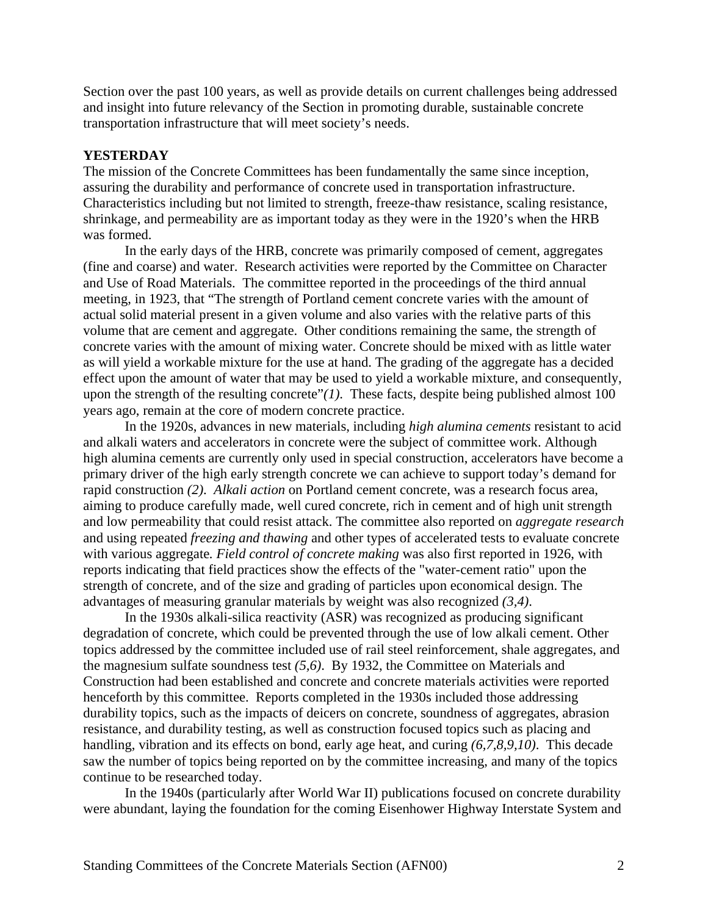Section over the past 100 years, as well as provide details on current challenges being addressed and insight into future relevancy of the Section in promoting durable, sustainable concrete transportation infrastructure that will meet society's needs.

#### **YESTERDAY**

The mission of the Concrete Committees has been fundamentally the same since inception, assuring the durability and performance of concrete used in transportation infrastructure. Characteristics including but not limited to strength, freeze-thaw resistance, scaling resistance, shrinkage, and permeability are as important today as they were in the 1920's when the HRB was formed.

 In the early days of the HRB, concrete was primarily composed of cement, aggregates (fine and coarse) and water. Research activities were reported by the Committee on Character and Use of Road Materials. The committee reported in the proceedings of the third annual meeting, in 1923, that "The strength of Portland cement concrete varies with the amount of actual solid material present in a given volume and also varies with the relative parts of this volume that are cement and aggregate. Other conditions remaining the same, the strength of concrete varies with the amount of mixing water. Concrete should be mixed with as little water as will yield a workable mixture for the use at hand. The grading of the aggregate has a decided effect upon the amount of water that may be used to yield a workable mixture, and consequently, upon the strength of the resulting concrete" $(1)$ . These facts, despite being published almost 100 years ago, remain at the core of modern concrete practice.

 In the 1920s, advances in new materials, including *high alumina cements* resistant to acid and alkali waters and accelerators in concrete were the subject of committee work. Although high alumina cements are currently only used in special construction, accelerators have become a primary driver of the high early strength concrete we can achieve to support today's demand for rapid construction *(2)*. *Alkali action* on Portland cement concrete*,* was a research focus area, aiming to produce carefully made, well cured concrete, rich in cement and of high unit strength and low permeability that could resist attack. The committee also reported on *aggregate research* and using repeated *freezing and thawing* and other types of accelerated tests to evaluate concrete with various aggregate*. Field control of concrete making* was also first reported in 1926, with reports indicating that field practices show the effects of the "water-cement ratio" upon the strength of concrete, and of the size and grading of particles upon economical design. The advantages of measuring granular materials by weight was also recognized *(3,4)*.

 In the 1930s alkali-silica reactivity (ASR) was recognized as producing significant degradation of concrete, which could be prevented through the use of low alkali cement. Other topics addressed by the committee included use of rail steel reinforcement, shale aggregates, and the magnesium sulfate soundness test *(5,6)*. By 1932, the Committee on Materials and Construction had been established and concrete and concrete materials activities were reported henceforth by this committee.Reports completed in the 1930s included those addressing durability topics, such as the impacts of deicers on concrete, soundness of aggregates, abrasion resistance, and durability testing, as well as construction focused topics such as placing and handling, vibration and its effects on bond, early age heat, and curing *(6,7,8,9,10)*. This decade saw the number of topics being reported on by the committee increasing, and many of the topics continue to be researched today.

 In the 1940s (particularly after World War II) publications focused on concrete durability were abundant, laying the foundation for the coming Eisenhower Highway Interstate System and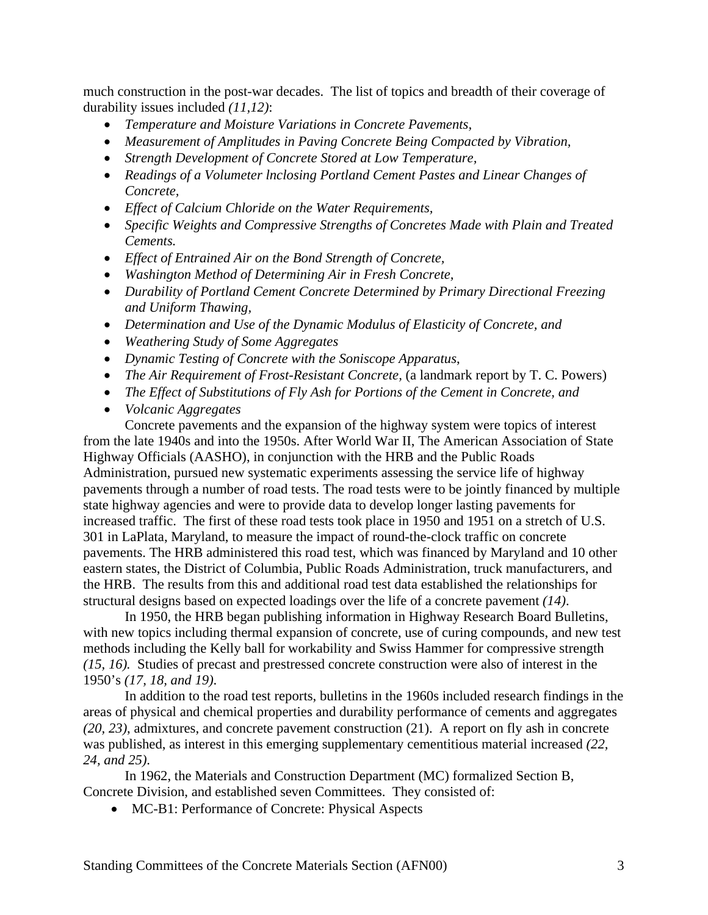much construction in the post-war decades. The list of topics and breadth of their coverage of durability issues included *(11,12)*:

- *Temperature and Moisture Variations in Concrete Pavements,*
- *Measurement of Amplitudes in Paving Concrete Being Compacted by Vibration,*
- *Strength Development of Concrete Stored at Low Temperature,*
- *Readings of a Volumeter lnclosing Portland Cement Pastes and Linear Changes of Concrete,*
- *Effect of Calcium Chloride on the Water Requirements,*
- *Specific Weights and Compressive Strengths of Concretes Made with Plain and Treated Cements.*
- *Effect of Entrained Air on the Bond Strength of Concrete,*
- *Washington Method of Determining Air in Fresh Concrete,*
- *Durability of Portland Cement Concrete Determined by Primary Directional Freezing and Uniform Thawing,*
- *Determination and Use of the Dynamic Modulus of Elasticity of Concrete, and*
- *Weathering Study of Some Aggregates*
- *Dynamic Testing of Concrete with the Soniscope Apparatus*,
- *The Air Requirement of Frost-Resistant Concrete,* (a landmark report by T. C. Powers)
- *The Effect of Substitutions of Fly Ash for Portions of the Cement in Concrete, and*
- *Volcanic Aggregates*

 Concrete pavements and the expansion of the highway system were topics of interest from the late 1940s and into the 1950s. After World War II, The American Association of State Highway Officials (AASHO), in conjunction with the HRB and the Public Roads Administration, pursued new systematic experiments assessing the service life of highway pavements through a number of road tests. The road tests were to be jointly financed by multiple state highway agencies and were to provide data to develop longer lasting pavements for increased traffic. The first of these road tests took place in 1950 and 1951 on a stretch of U.S. 301 in LaPlata, Maryland, to measure the impact of round-the-clock traffic on concrete pavements. The HRB administered this road test, which was financed by Maryland and 10 other eastern states, the District of Columbia, Public Roads Administration, truck manufacturers, and the HRB. The results from this and additional road test data established the relationships for structural designs based on expected loadings over the life of a concrete pavement *(14)*.

In 1950, the HRB began publishing information in Highway Research Board Bulletins, with new topics including thermal expansion of concrete, use of curing compounds, and new test methods including the Kelly ball for workability and Swiss Hammer for compressive strength *(15, 16).* Studies of precast and prestressed concrete construction were also of interest in the 1950's *(17, 18, and 19)*.

 In addition to the road test reports, bulletins in the 1960s included research findings in the areas of physical and chemical properties and durability performance of cements and aggregates *(20, 23)*, admixtures, and concrete pavement construction (21). A report on fly ash in concrete was published, as interest in this emerging supplementary cementitious material increased *(22, 24, and 25)*.

 In 1962, the Materials and Construction Department (MC) formalized Section B, Concrete Division, and established seven Committees. They consisted of:

• MC-B1: Performance of Concrete: Physical Aspects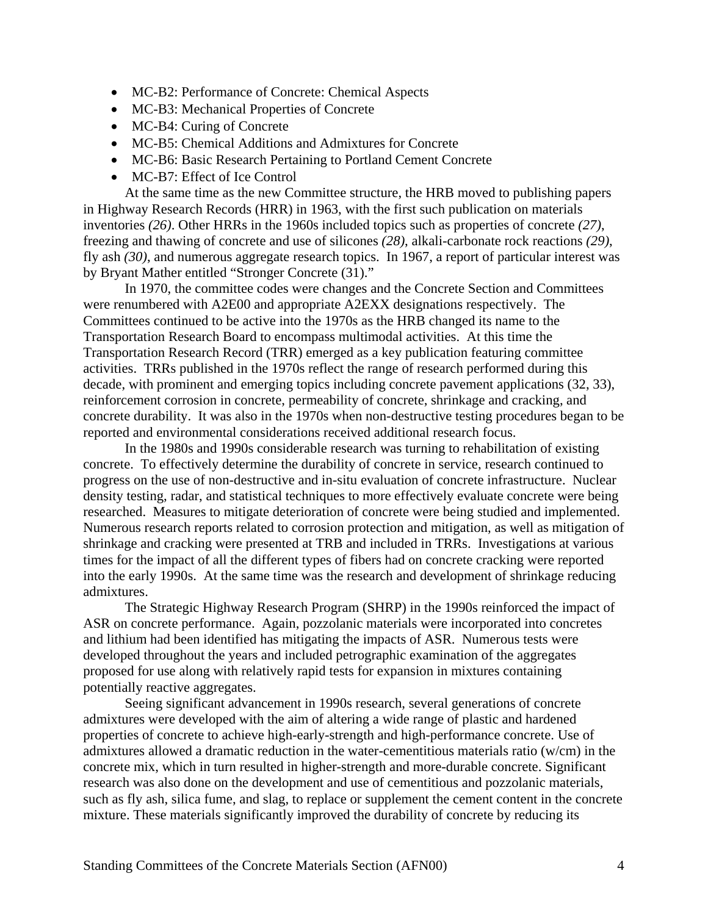- MC-B2: Performance of Concrete: Chemical Aspects
- MC-B3: Mechanical Properties of Concrete
- MC-B4: Curing of Concrete
- MC-B5: Chemical Additions and Admixtures for Concrete
- MC-B6: Basic Research Pertaining to Portland Cement Concrete
- MC-B7: Effect of Ice Control

 At the same time as the new Committee structure, the HRB moved to publishing papers in Highway Research Records (HRR) in 1963, with the first such publication on materials inventories *(26)*. Other HRRs in the 1960s included topics such as properties of concrete *(27)*, freezing and thawing of concrete and use of silicones *(28)*, alkali-carbonate rock reactions *(29)*, fly ash *(30)*, and numerous aggregate research topics. In 1967, a report of particular interest was by Bryant Mather entitled "Stronger Concrete (31)."

 In 1970, the committee codes were changes and the Concrete Section and Committees were renumbered with A2E00 and appropriate A2EXX designations respectively. The Committees continued to be active into the 1970s as the HRB changed its name to the Transportation Research Board to encompass multimodal activities. At this time the Transportation Research Record (TRR) emerged as a key publication featuring committee activities. TRRs published in the 1970s reflect the range of research performed during this decade, with prominent and emerging topics including concrete pavement applications (32, 33), reinforcement corrosion in concrete, permeability of concrete, shrinkage and cracking, and concrete durability. It was also in the 1970s when non-destructive testing procedures began to be reported and environmental considerations received additional research focus.

 In the 1980s and 1990s considerable research was turning to rehabilitation of existing concrete. To effectively determine the durability of concrete in service, research continued to progress on the use of non-destructive and in-situ evaluation of concrete infrastructure. Nuclear density testing, radar, and statistical techniques to more effectively evaluate concrete were being researched. Measures to mitigate deterioration of concrete were being studied and implemented. Numerous research reports related to corrosion protection and mitigation, as well as mitigation of shrinkage and cracking were presented at TRB and included in TRRs. Investigations at various times for the impact of all the different types of fibers had on concrete cracking were reported into the early 1990s. At the same time was the research and development of shrinkage reducing admixtures.

 The Strategic Highway Research Program (SHRP) in the 1990s reinforced the impact of ASR on concrete performance. Again, pozzolanic materials were incorporated into concretes and lithium had been identified has mitigating the impacts of ASR. Numerous tests were developed throughout the years and included petrographic examination of the aggregates proposed for use along with relatively rapid tests for expansion in mixtures containing potentially reactive aggregates.

 Seeing significant advancement in 1990s research, several generations of concrete admixtures were developed with the aim of altering a wide range of plastic and hardened properties of concrete to achieve high-early-strength and high-performance concrete. Use of admixtures allowed a dramatic reduction in the water-cementitious materials ratio (w/cm) in the concrete mix, which in turn resulted in higher-strength and more-durable concrete. Significant research was also done on the development and use of cementitious and pozzolanic materials, such as fly ash, silica fume, and slag, to replace or supplement the cement content in the concrete mixture. These materials significantly improved the durability of concrete by reducing its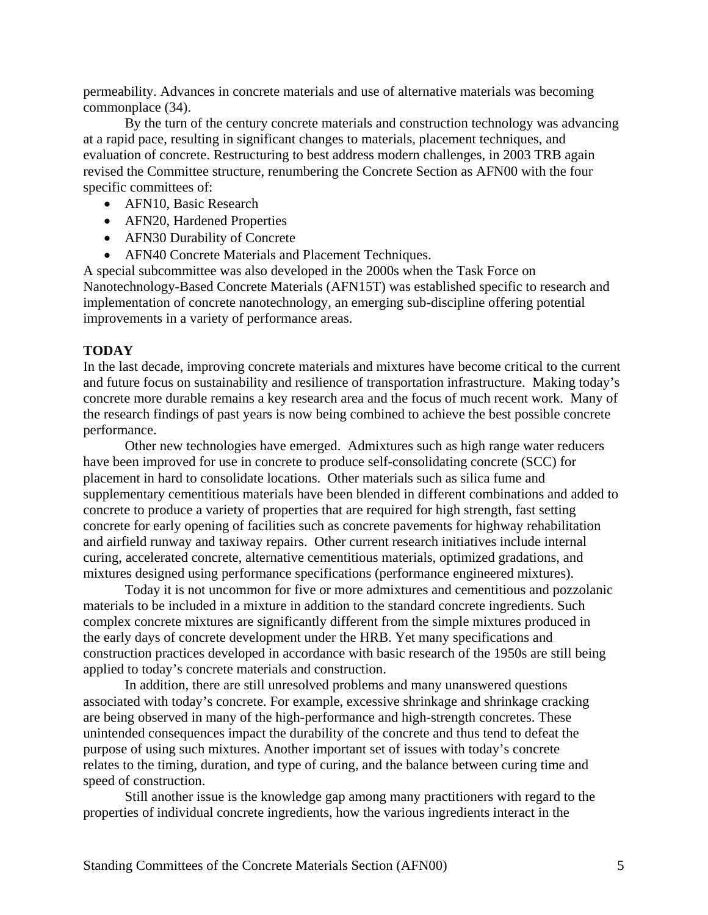permeability. Advances in concrete materials and use of alternative materials was becoming commonplace (34).

 By the turn of the century concrete materials and construction technology was advancing at a rapid pace, resulting in significant changes to materials, placement techniques, and evaluation of concrete. Restructuring to best address modern challenges, in 2003 TRB again revised the Committee structure, renumbering the Concrete Section as AFN00 with the four specific committees of:

- AFN10, Basic Research
- AFN20, Hardened Properties
- AFN30 Durability of Concrete
- AFN40 Concrete Materials and Placement Techniques.

A special subcommittee was also developed in the 2000s when the Task Force on Nanotechnology-Based Concrete Materials (AFN15T) was established specific to research and implementation of concrete nanotechnology, an emerging sub-discipline offering potential improvements in a variety of performance areas.

#### **TODAY**

In the last decade, improving concrete materials and mixtures have become critical to the current and future focus on sustainability and resilience of transportation infrastructure. Making today's concrete more durable remains a key research area and the focus of much recent work. Many of the research findings of past years is now being combined to achieve the best possible concrete performance.

 Other new technologies have emerged. Admixtures such as high range water reducers have been improved for use in concrete to produce self-consolidating concrete (SCC) for placement in hard to consolidate locations. Other materials such as silica fume and supplementary cementitious materials have been blended in different combinations and added to concrete to produce a variety of properties that are required for high strength, fast setting concrete for early opening of facilities such as concrete pavements for highway rehabilitation and airfield runway and taxiway repairs. Other current research initiatives include internal curing, accelerated concrete, alternative cementitious materials, optimized gradations, and mixtures designed using performance specifications (performance engineered mixtures).

 Today it is not uncommon for five or more admixtures and cementitious and pozzolanic materials to be included in a mixture in addition to the standard concrete ingredients. Such complex concrete mixtures are significantly different from the simple mixtures produced in the early days of concrete development under the HRB. Yet many specifications and construction practices developed in accordance with basic research of the 1950s are still being applied to today's concrete materials and construction.

 In addition, there are still unresolved problems and many unanswered questions associated with today's concrete. For example, excessive shrinkage and shrinkage cracking are being observed in many of the high-performance and high-strength concretes. These unintended consequences impact the durability of the concrete and thus tend to defeat the purpose of using such mixtures. Another important set of issues with today's concrete relates to the timing, duration, and type of curing, and the balance between curing time and speed of construction.

 Still another issue is the knowledge gap among many practitioners with regard to the properties of individual concrete ingredients, how the various ingredients interact in the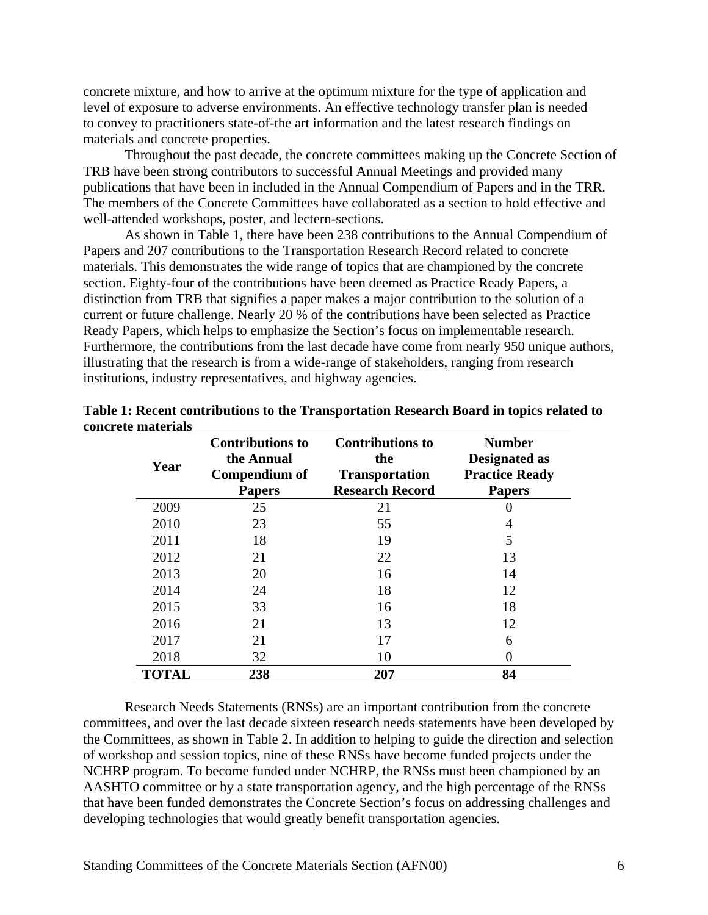concrete mixture, and how to arrive at the optimum mixture for the type of application and level of exposure to adverse environments. An effective technology transfer plan is needed to convey to practitioners state-of-the art information and the latest research findings on materials and concrete properties.

 Throughout the past decade, the concrete committees making up the Concrete Section of TRB have been strong contributors to successful Annual Meetings and provided many publications that have been in included in the Annual Compendium of Papers and in the TRR. The members of the Concrete Committees have collaborated as a section to hold effective and well-attended workshops, poster, and lectern-sections.

 As shown in Table 1, there have been 238 contributions to the Annual Compendium of Papers and 207 contributions to the Transportation Research Record related to concrete materials. This demonstrates the wide range of topics that are championed by the concrete section. Eighty-four of the contributions have been deemed as Practice Ready Papers, a distinction from TRB that signifies a paper makes a major contribution to the solution of a current or future challenge. Nearly 20 % of the contributions have been selected as Practice Ready Papers, which helps to emphasize the Section's focus on implementable research. Furthermore, the contributions from the last decade have come from nearly 950 unique authors, illustrating that the research is from a wide-range of stakeholders, ranging from research institutions, industry representatives, and highway agencies.

| Year         | <b>Contributions to</b><br>the Annual<br>Compendium of<br><b>Papers</b> | <b>Contributions to</b><br>the<br><b>Transportation</b><br><b>Research Record</b> | <b>Number</b><br>Designated as<br><b>Practice Ready</b><br><b>Papers</b> |
|--------------|-------------------------------------------------------------------------|-----------------------------------------------------------------------------------|--------------------------------------------------------------------------|
| 2009         | 25                                                                      | 21                                                                                | 0                                                                        |
| 2010         | 23                                                                      | 55                                                                                |                                                                          |
| 2011         | 18                                                                      | 19                                                                                | 5                                                                        |
| 2012         | 21                                                                      | 22                                                                                | 13                                                                       |
| 2013         | 20                                                                      | 16                                                                                | 14                                                                       |
| 2014         | 24                                                                      | 18                                                                                | 12                                                                       |
| 2015         | 33                                                                      | 16                                                                                | 18                                                                       |
| 2016         | 21                                                                      | 13                                                                                | 12                                                                       |
| 2017         | 21                                                                      | 17                                                                                | 6                                                                        |
| 2018         | 32                                                                      | 10                                                                                | 0                                                                        |
| <b>TOTAL</b> | 238                                                                     | 207                                                                               | 84                                                                       |

| Table 1: Recent contributions to the Transportation Research Board in topics related to |
|-----------------------------------------------------------------------------------------|
| concrete materials                                                                      |

 Research Needs Statements (RNSs) are an important contribution from the concrete committees, and over the last decade sixteen research needs statements have been developed by the Committees, as shown in Table 2. In addition to helping to guide the direction and selection of workshop and session topics, nine of these RNSs have become funded projects under the NCHRP program. To become funded under NCHRP, the RNSs must been championed by an AASHTO committee or by a state transportation agency, and the high percentage of the RNSs that have been funded demonstrates the Concrete Section's focus on addressing challenges and developing technologies that would greatly benefit transportation agencies.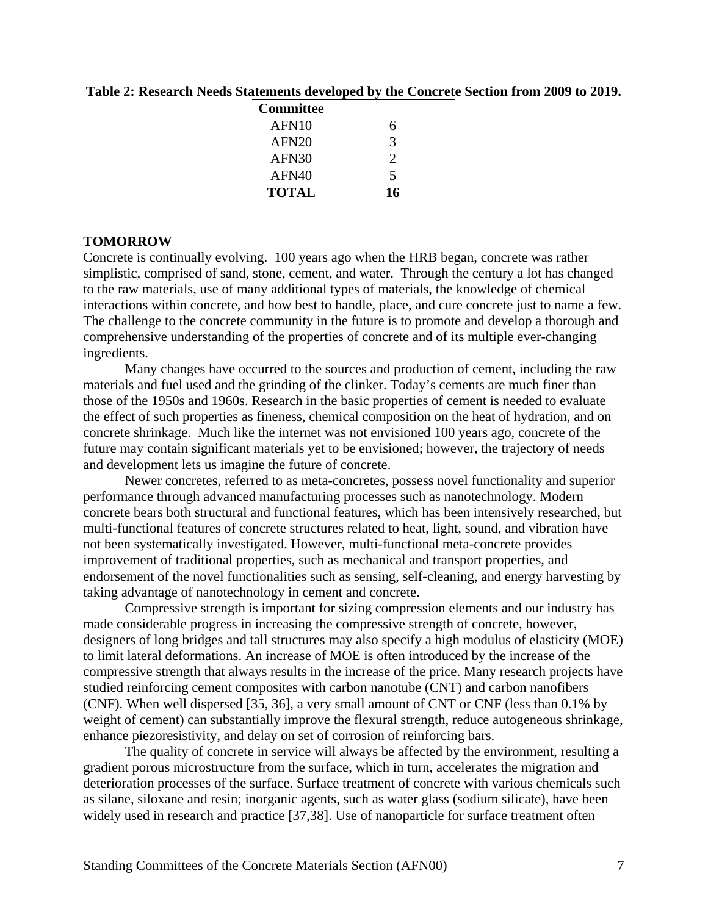| Committee         |                             |
|-------------------|-----------------------------|
| AFN10             | 6                           |
| AFN <sub>20</sub> | 3                           |
| AFN30             | $\mathcal{D}_{\mathcal{L}}$ |
| AFN40             | 5                           |
| <b>TOTAL</b>      | 16                          |

**Table 2: Research Needs Statements developed by the Concrete Section from 2009 to 2019.** 

### **TOMORROW**

Concrete is continually evolving. 100 years ago when the HRB began, concrete was rather simplistic, comprised of sand, stone, cement, and water. Through the century a lot has changed to the raw materials, use of many additional types of materials, the knowledge of chemical interactions within concrete, and how best to handle, place, and cure concrete just to name a few. The challenge to the concrete community in the future is to promote and develop a thorough and comprehensive understanding of the properties of concrete and of its multiple ever-changing ingredients.

 Many changes have occurred to the sources and production of cement, including the raw materials and fuel used and the grinding of the clinker. Today's cements are much finer than those of the 1950s and 1960s. Research in the basic properties of cement is needed to evaluate the effect of such properties as fineness, chemical composition on the heat of hydration, and on concrete shrinkage. Much like the internet was not envisioned 100 years ago, concrete of the future may contain significant materials yet to be envisioned; however, the trajectory of needs and development lets us imagine the future of concrete.

Newer concretes, referred to as meta-concretes, possess novel functionality and superior performance through advanced manufacturing processes such as nanotechnology. Modern concrete bears both structural and functional features, which has been intensively researched, but multi-functional features of concrete structures related to heat, light, sound, and vibration have not been systematically investigated. However, multi-functional meta-concrete provides improvement of traditional properties, such as mechanical and transport properties, and endorsement of the novel functionalities such as sensing, self-cleaning, and energy harvesting by taking advantage of nanotechnology in cement and concrete.

Compressive strength is important for sizing compression elements and our industry has made considerable progress in increasing the compressive strength of concrete, however, designers of long bridges and tall structures may also specify a high modulus of elasticity (MOE) to limit lateral deformations. An increase of MOE is often introduced by the increase of the compressive strength that always results in the increase of the price. Many research projects have studied reinforcing cement composites with carbon nanotube (CNT) and carbon nanofibers (CNF). When well dispersed [35, 36], a very small amount of CNT or CNF (less than 0.1% by weight of cement) can substantially improve the flexural strength, reduce autogeneous shrinkage, enhance piezoresistivity, and delay on set of corrosion of reinforcing bars.

The quality of concrete in service will always be affected by the environment, resulting a gradient porous microstructure from the surface, which in turn, accelerates the migration and deterioration processes of the surface. Surface treatment of concrete with various chemicals such as silane, siloxane and resin; inorganic agents, such as water glass (sodium silicate), have been widely used in research and practice [37,38]. Use of nanoparticle for surface treatment often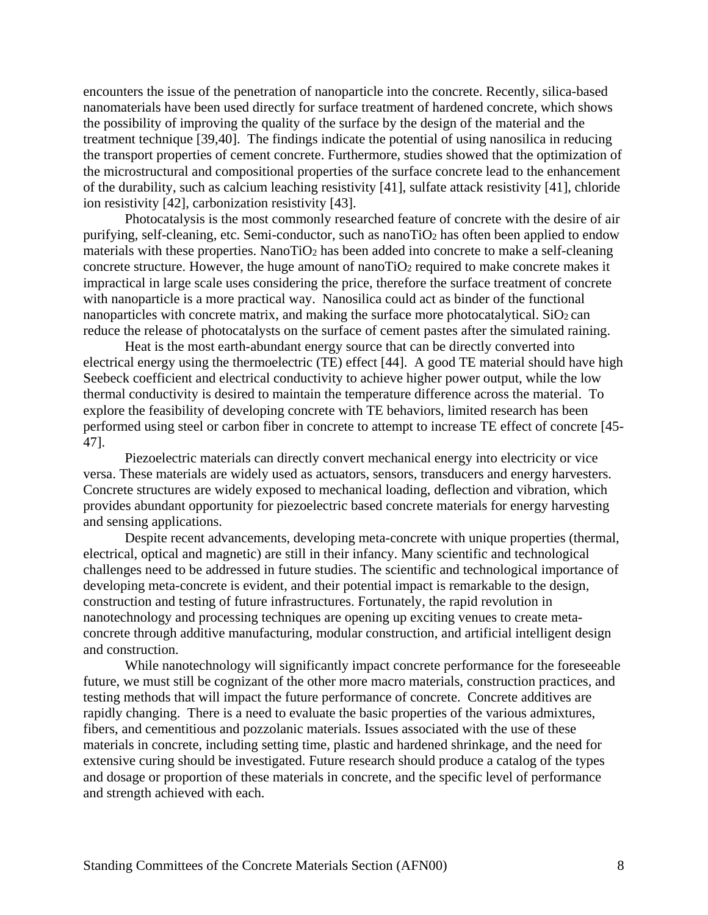encounters the issue of the penetration of nanoparticle into the concrete. Recently, silica-based nanomaterials have been used directly for surface treatment of hardened concrete, which shows the possibility of improving the quality of the surface by the design of the material and the treatment technique [39,40]. The findings indicate the potential of using nanosilica in reducing the transport properties of cement concrete. Furthermore, studies showed that the optimization of the microstructural and compositional properties of the surface concrete lead to the enhancement of the durability, such as calcium leaching resistivity [41], sulfate attack resistivity [41], chloride ion resistivity [42], carbonization resistivity [43].

Photocatalysis is the most commonly researched feature of concrete with the desire of air purifying, self-cleaning, etc. Semi-conductor, such as nanoTiO2 has often been applied to endow materials with these properties. NanoTiO<sub>2</sub> has been added into concrete to make a self-cleaning concrete structure. However, the huge amount of nanoTiO<sub>2</sub> required to make concrete makes it impractical in large scale uses considering the price, therefore the surface treatment of concrete with nanoparticle is a more practical way. Nanosilica could act as binder of the functional nanoparticles with concrete matrix, and making the surface more photocatalytical.  $SiO<sub>2</sub>$  can reduce the release of photocatalysts on the surface of cement pastes after the simulated raining.

Heat is the most earth-abundant energy source that can be directly converted into electrical energy using the thermoelectric (TE) effect [44]. A good TE material should have high Seebeck coefficient and electrical conductivity to achieve higher power output, while the low thermal conductivity is desired to maintain the temperature difference across the material. To explore the feasibility of developing concrete with TE behaviors, limited research has been performed using steel or carbon fiber in concrete to attempt to increase TE effect of concrete [45- 47].

Piezoelectric materials can directly convert mechanical energy into electricity or vice versa. These materials are widely used as actuators, sensors, transducers and energy harvesters. Concrete structures are widely exposed to mechanical loading, deflection and vibration, which provides abundant opportunity for piezoelectric based concrete materials for energy harvesting and sensing applications.

Despite recent advancements, developing meta-concrete with unique properties (thermal, electrical, optical and magnetic) are still in their infancy. Many scientific and technological challenges need to be addressed in future studies. The scientific and technological importance of developing meta-concrete is evident, and their potential impact is remarkable to the design, construction and testing of future infrastructures. Fortunately, the rapid revolution in nanotechnology and processing techniques are opening up exciting venues to create metaconcrete through additive manufacturing, modular construction, and artificial intelligent design and construction.

While nanotechnology will significantly impact concrete performance for the foreseeable future, we must still be cognizant of the other more macro materials, construction practices, and testing methods that will impact the future performance of concrete. Concrete additives are rapidly changing. There is a need to evaluate the basic properties of the various admixtures, fibers, and cementitious and pozzolanic materials. Issues associated with the use of these materials in concrete, including setting time, plastic and hardened shrinkage, and the need for extensive curing should be investigated. Future research should produce a catalog of the types and dosage or proportion of these materials in concrete, and the specific level of performance and strength achieved with each.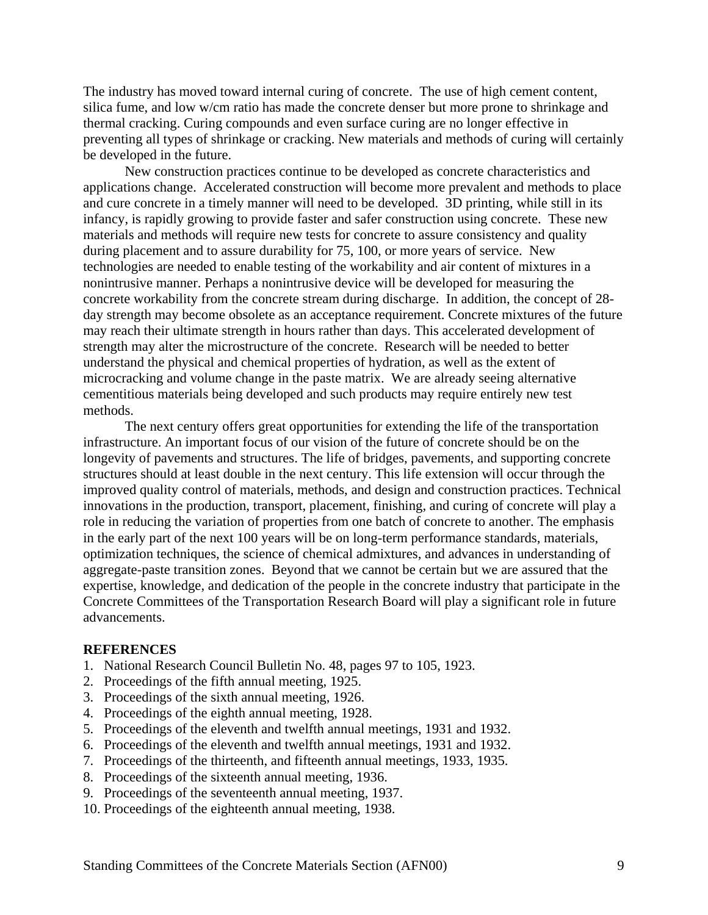The industry has moved toward internal curing of concrete. The use of high cement content, silica fume, and low w/cm ratio has made the concrete denser but more prone to shrinkage and thermal cracking. Curing compounds and even surface curing are no longer effective in preventing all types of shrinkage or cracking. New materials and methods of curing will certainly be developed in the future.

 New construction practices continue to be developed as concrete characteristics and applications change. Accelerated construction will become more prevalent and methods to place and cure concrete in a timely manner will need to be developed. 3D printing, while still in its infancy, is rapidly growing to provide faster and safer construction using concrete. These new materials and methods will require new tests for concrete to assure consistency and quality during placement and to assure durability for 75, 100, or more years of service. New technologies are needed to enable testing of the workability and air content of mixtures in a nonintrusive manner. Perhaps a nonintrusive device will be developed for measuring the concrete workability from the concrete stream during discharge. In addition, the concept of 28 day strength may become obsolete as an acceptance requirement. Concrete mixtures of the future may reach their ultimate strength in hours rather than days. This accelerated development of strength may alter the microstructure of the concrete. Research will be needed to better understand the physical and chemical properties of hydration, as well as the extent of microcracking and volume change in the paste matrix. We are already seeing alternative cementitious materials being developed and such products may require entirely new test methods.

The next century offers great opportunities for extending the life of the transportation infrastructure. An important focus of our vision of the future of concrete should be on the longevity of pavements and structures. The life of bridges, pavements, and supporting concrete structures should at least double in the next century. This life extension will occur through the improved quality control of materials, methods, and design and construction practices. Technical innovations in the production, transport, placement, finishing, and curing of concrete will play a role in reducing the variation of properties from one batch of concrete to another. The emphasis in the early part of the next 100 years will be on long-term performance standards, materials, optimization techniques, the science of chemical admixtures, and advances in understanding of aggregate-paste transition zones. Beyond that we cannot be certain but we are assured that the expertise, knowledge, and dedication of the people in the concrete industry that participate in the Concrete Committees of the Transportation Research Board will play a significant role in future advancements.

#### **REFERENCES**

- 1. National Research Council Bulletin No. 48, pages 97 to 105, 1923.
- 2. Proceedings of the fifth annual meeting, 1925.
- 3. Proceedings of the sixth annual meeting, 1926.
- 4. Proceedings of the eighth annual meeting, 1928.
- 5. Proceedings of the eleventh and twelfth annual meetings, 1931 and 1932.
- 6. Proceedings of the eleventh and twelfth annual meetings, 1931 and 1932.
- 7. Proceedings of the thirteenth, and fifteenth annual meetings, 1933, 1935.
- 8. Proceedings of the sixteenth annual meeting, 1936.
- 9. Proceedings of the seventeenth annual meeting, 1937.
- 10. Proceedings of the eighteenth annual meeting, 1938.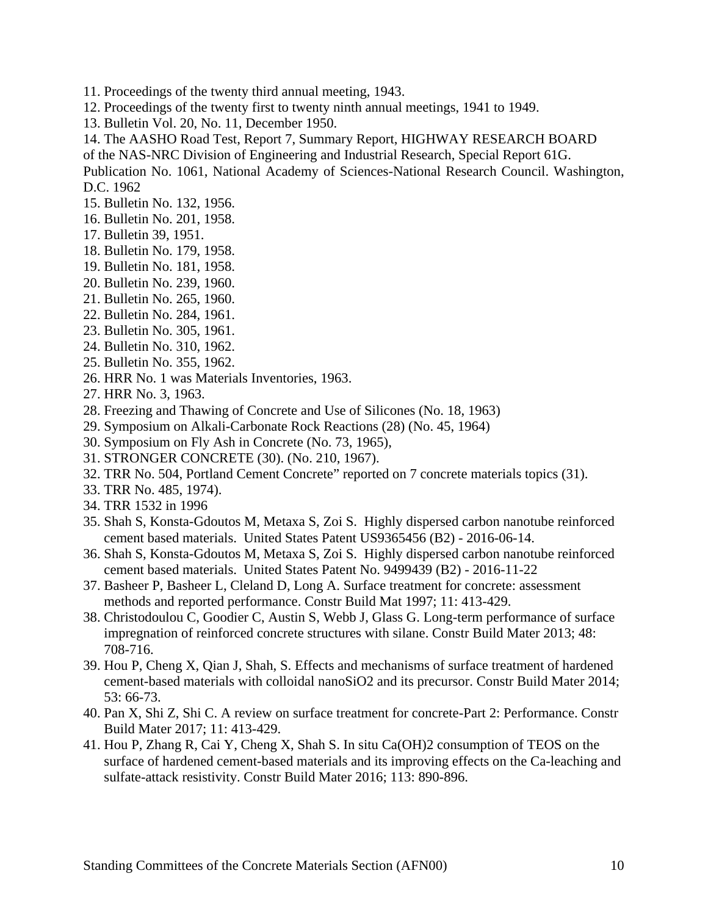- 11. Proceedings of the twenty third annual meeting, 1943.
- 12. Proceedings of the twenty first to twenty ninth annual meetings, 1941 to 1949.
- 13. Bulletin Vol. 20, No. 11, December 1950.
- 14. The AASHO Road Test, Report 7, Summary Report, HIGHWAY RESEARCH BOARD
- of the NAS-NRC Division of Engineering and Industrial Research, Special Report 61G.

Publication No. 1061, National Academy of Sciences-National Research Council. Washington, D.C. 1962

- 15. Bulletin No. 132, 1956.
- 16. Bulletin No. 201, 1958.
- 17. Bulletin 39, 1951.
- 18. Bulletin No. 179, 1958.
- 19. Bulletin No. 181, 1958.
- 20. Bulletin No. 239, 1960.
- 21. Bulletin No. 265, 1960.
- 22. Bulletin No. 284, 1961.
- 23. Bulletin No. 305, 1961.
- 24. Bulletin No. 310, 1962.
- 25. Bulletin No. 355, 1962.
- 26. HRR No. 1 was Materials Inventories, 1963.
- 27. HRR No. 3, 1963.
- 28. Freezing and Thawing of Concrete and Use of Silicones (No. 18, 1963)
- 29. Symposium on Alkali-Carbonate Rock Reactions (28) (No. 45, 1964)
- 30. Symposium on Fly Ash in Concrete (No. 73, 1965),
- 31. STRONGER CONCRETE (30). (No. 210, 1967).
- 32. TRR No. 504, Portland Cement Concrete" reported on 7 concrete materials topics (31).
- 33. TRR No. 485, 1974).
- 34. TRR 1532 in 1996
- 35. Shah S, Konsta-Gdoutos M, Metaxa S, Zoi S. Highly dispersed carbon nanotube reinforced cement based materials. United States Patent US9365456 (B2) - 2016-06-14.
- 36. Shah S, Konsta-Gdoutos M, Metaxa S, Zoi S. Highly dispersed carbon nanotube reinforced cement based materials. United States Patent No. 9499439 (B2) - 2016-11-22
- 37. Basheer P, Basheer L, Cleland D, Long A. Surface treatment for concrete: assessment methods and reported performance. Constr Build Mat 1997; 11: 413-429.
- 38. Christodoulou C, Goodier C, Austin S, Webb J, Glass G. Long-term performance of surface impregnation of reinforced concrete structures with silane. Constr Build Mater 2013; 48: 708-716.
- 39. Hou P, Cheng X, Qian J, Shah, S. Effects and mechanisms of surface treatment of hardened cement-based materials with colloidal nanoSiO2 and its precursor. Constr Build Mater 2014; 53: 66-73.
- 40. Pan X, Shi Z, Shi C. A review on surface treatment for concrete-Part 2: Performance. Constr Build Mater 2017; 11: 413-429.
- 41. Hou P, Zhang R, Cai Y, Cheng X, Shah S. In situ Ca(OH)2 consumption of TEOS on the surface of hardened cement-based materials and its improving effects on the Ca-leaching and sulfate-attack resistivity. Constr Build Mater 2016; 113: 890-896.